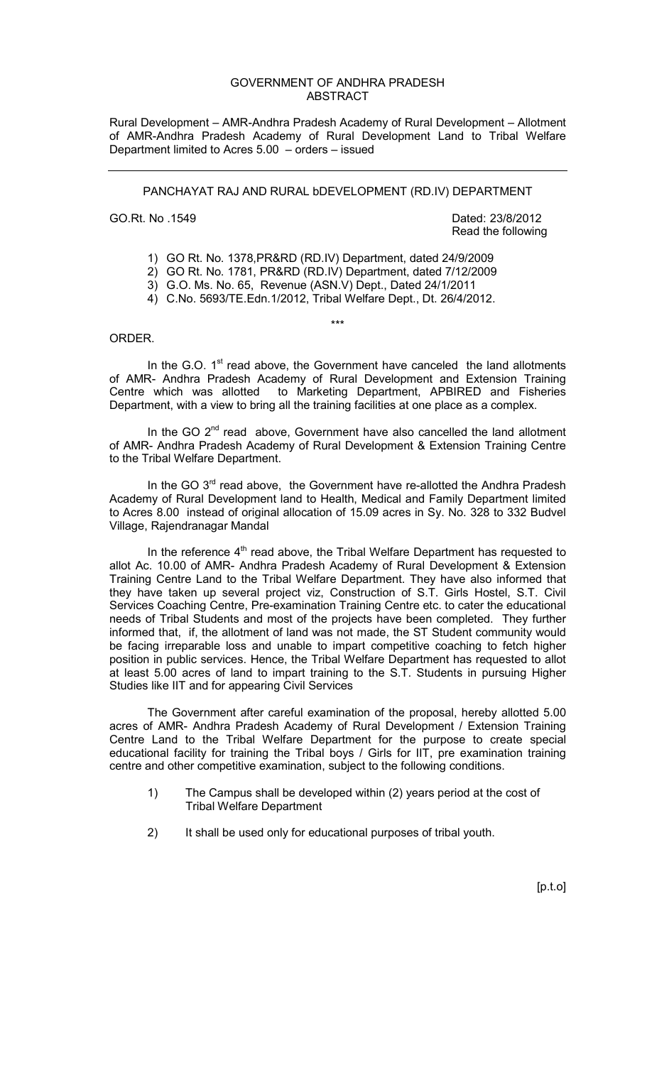## GOVERNMENT OF ANDHRA PRADESH ABSTRACT

Rural Development – AMR-Andhra Pradesh Academy of Rural Development – Allotment of AMR-Andhra Pradesh Academy of Rural Development Land to Tribal Welfare Department limited to Acres 5.00 – orders – issued

PANCHAYAT RAJ AND RURAL bDEVELOPMENT (RD.IV) DEPARTMENT

GO.Rt. No. 1549 **Dated: 23/8/2012** Read the following

- 1) GO Rt. No. 1378,PR&RD (RD.IV) Department, dated 24/9/2009
- 2) GO Rt. No. 1781, PR&RD (RD.IV) Department, dated 7/12/2009
- 3) G.O. Ms. No. 65, Revenue (ASN.V) Dept., Dated 24/1/2011
- 4) C.No. 5693/TE.Edn.1/2012, Tribal Welfare Dept., Dt. 26/4/2012.

## ORDER.

In the G.O.  $1<sup>st</sup>$  read above, the Government have canceled the land allotments of AMR- Andhra Pradesh Academy of Rural Development and Extension Training Centre which was allotted to Marketing Department, APBIRED and Fisheries Department, with a view to bring all the training facilities at one place as a complex.

\*\*\*

In the GO 2<sup>nd</sup> read above, Government have also cancelled the land allotment of AMR- Andhra Pradesh Academy of Rural Development & Extension Training Centre to the Tribal Welfare Department.

In the GO  $3^{rd}$  read above, the Government have re-allotted the Andhra Pradesh Academy of Rural Development land to Health, Medical and Family Department limited to Acres 8.00 instead of original allocation of 15.09 acres in Sy. No. 328 to 332 Budvel Village, Rajendranagar Mandal

In the reference  $4<sup>th</sup>$  read above, the Tribal Welfare Department has requested to allot Ac. 10.00 of AMR- Andhra Pradesh Academy of Rural Development & Extension Training Centre Land to the Tribal Welfare Department. They have also informed that they have taken up several project viz, Construction of S.T. Girls Hostel, S.T. Civil Services Coaching Centre, Pre-examination Training Centre etc. to cater the educational needs of Tribal Students and most of the projects have been completed. They further informed that, if, the allotment of land was not made, the ST Student community would be facing irreparable loss and unable to impart competitive coaching to fetch higher position in public services. Hence, the Tribal Welfare Department has requested to allot at least 5.00 acres of land to impart training to the S.T. Students in pursuing Higher Studies like IIT and for appearing Civil Services

 The Government after careful examination of the proposal, hereby allotted 5.00 acres of AMR- Andhra Pradesh Academy of Rural Development / Extension Training Centre Land to the Tribal Welfare Department for the purpose to create special educational facility for training the Tribal boys / Girls for IIT, pre examination training centre and other competitive examination, subject to the following conditions.

- 1) The Campus shall be developed within (2) years period at the cost of Tribal Welfare Department
- 2) It shall be used only for educational purposes of tribal youth.

[p.t.o]